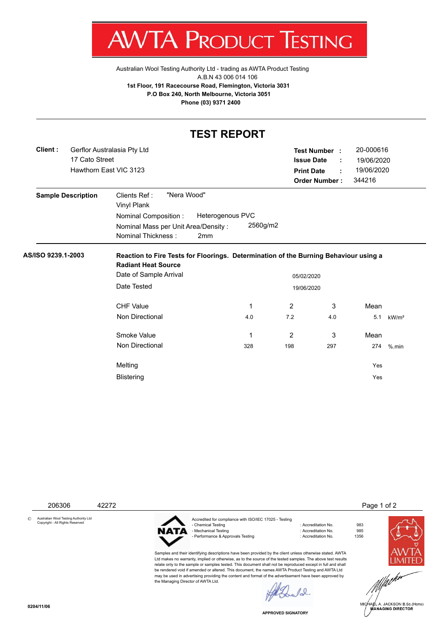$A\mathsf{V}$ V IA. PRODU JC **ESTING** ı ı

[Australian Wool Testing Authority Ltd - trading as AWTA Product Testing](http://www.awtaproducttesting.com.au/) A.B.N 43 006 014 106 **1st Floor, 191 Racecourse Road, Flemington, Victoria 3031 P.O Box 240, North Melbourne, Victoria 3051 Phone (03) 9371 2400**

## **TEST REPORT**

| Client:            | Gerflor Australasia Pty Ltd<br>17 Cato Street<br>Hawthorn East VIC 3123 |                                                                                                                                 |                                     |          |                          | 20-000616<br>Test Number :<br><b>Issue Date</b><br>19/06/2020<br>÷     |      |                   |  |  |  |
|--------------------|-------------------------------------------------------------------------|---------------------------------------------------------------------------------------------------------------------------------|-------------------------------------|----------|--------------------------|------------------------------------------------------------------------|------|-------------------|--|--|--|
|                    |                                                                         |                                                                                                                                 |                                     |          |                          | 19/06/2020<br><b>Print Date</b><br>÷<br><b>Order Number:</b><br>344216 |      |                   |  |  |  |
|                    | <b>Sample Description</b>                                               | "Nera Wood"<br>Clients Ref:<br>Vinyl Plank<br>Nominal Composition:<br>Nominal Mass per Unit Area/Density:<br>Nominal Thickness: | Heterogenous PVC<br>2 <sub>mm</sub> | 2560g/m2 |                          |                                                                        |      |                   |  |  |  |
| AS/ISO 9239.1-2003 |                                                                         | Reaction to Fire Tests for Floorings. Determination of the Burning Behaviour using a<br><b>Radiant Heat Source</b>              |                                     |          |                          |                                                                        |      |                   |  |  |  |
|                    |                                                                         | Date of Sample Arrival<br>Date Tested                                                                                           |                                     |          | 05/02/2020<br>19/06/2020 |                                                                        |      |                   |  |  |  |
|                    |                                                                         | <b>CHF Value</b>                                                                                                                |                                     | 1        | $\overline{2}$           | 3                                                                      | Mean |                   |  |  |  |
|                    |                                                                         | <b>Non Directional</b>                                                                                                          |                                     | 4.0      | 7.2                      | 4.0                                                                    | 5.1  | kW/m <sup>2</sup> |  |  |  |
|                    |                                                                         | Smoke Value                                                                                                                     |                                     | 1        | 2                        | 3                                                                      | Mean |                   |  |  |  |
|                    |                                                                         | Non Directional                                                                                                                 |                                     | 328      | 198                      | 297                                                                    | 274  | $%$ .min          |  |  |  |
|                    |                                                                         | Melting                                                                                                                         |                                     |          |                          |                                                                        | Yes  |                   |  |  |  |
|                    |                                                                         | <b>Blistering</b>                                                                                                               |                                     |          |                          |                                                                        | Yes  |                   |  |  |  |

206306 42272 Page 1 of 2

© Australian Wool Testing Authority Ltd Copyright - All Rights Reserved



the Managing Director of AWTA Ltd.

Accredited for compliance with ISO/IEC 17025 - Testing - Mechanical Testing in the state of the control of the control of the state of the state of the state of the state of the state of the state of the state of the state of the state of the state of the state of the state of - Performance & Approvals Testing

Samples and their identifying descriptions have been provided by the client unless otherwise stated. AWTA Ltd makes no warranty, implied or otherwise, as to the source of the tested samples. The above test results relate only to the sample or samples tested. This document shall not be reproduced except in full and shall be rendered void if amended or altered. This document, the names AWTA Product Testing and AWTA Ltd may be used in advertising providing the content and format of the advertisement have been approved by

: Accreditation No. 983<br>: Accreditation No. 985





.<br>IA∉L A. JACKSON B.Sc.(Hons)<br>MANAGING DIRECTOR

**APPROVED SIGNATORY**

 $\overline{0}$